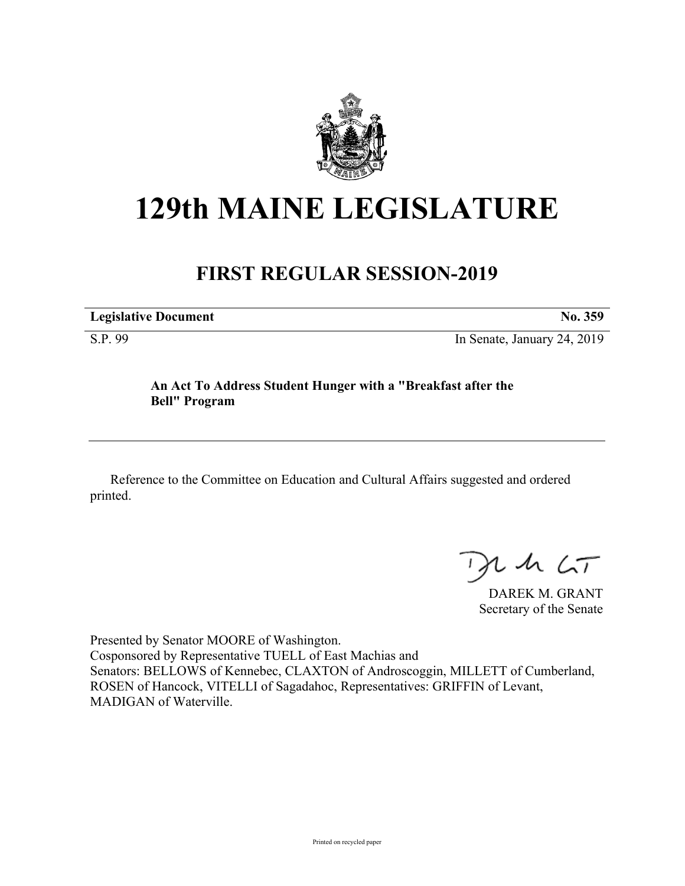

# **129th MAINE LEGISLATURE**

# **FIRST REGULAR SESSION-2019**

**Legislative Document No. 359** S.P. 99 In Senate, January 24, 2019

### **An Act To Address Student Hunger with a "Breakfast after the Bell" Program**

Reference to the Committee on Education and Cultural Affairs suggested and ordered printed.

 $125$ 

DAREK M. GRANT Secretary of the Senate

Presented by Senator MOORE of Washington. Cosponsored by Representative TUELL of East Machias and Senators: BELLOWS of Kennebec, CLAXTON of Androscoggin, MILLETT of Cumberland, ROSEN of Hancock, VITELLI of Sagadahoc, Representatives: GRIFFIN of Levant, MADIGAN of Waterville.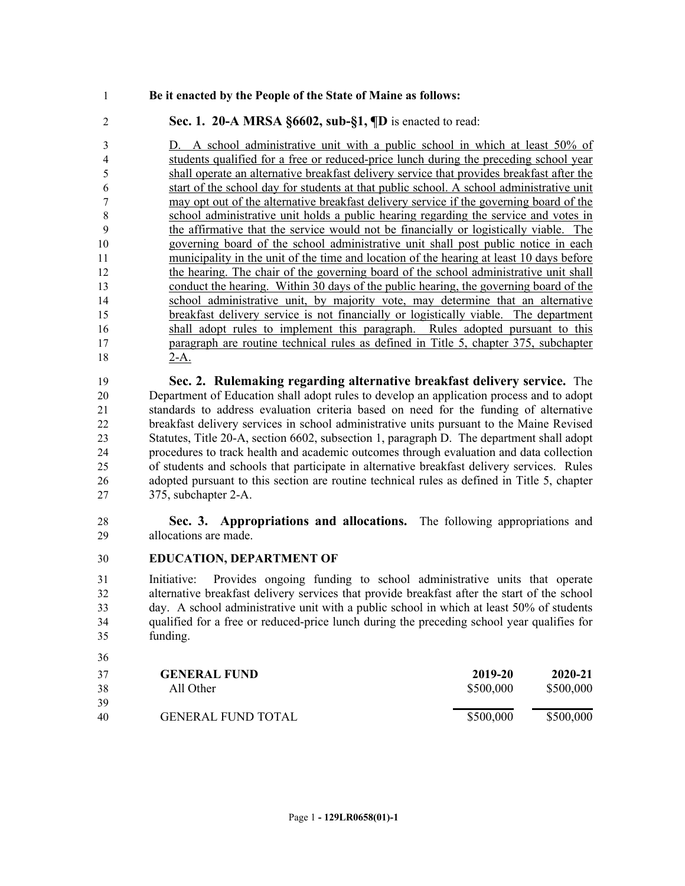#### **Be it enacted by the People of the State of Maine as follows:**

## **Sec. 1. 20-A MRSA §6602, sub-§1, ¶D** is enacted to read:

 D. A school administrative unit with a public school in which at least 50% of students qualified for a free or reduced-price lunch during the preceding school year shall operate an alternative breakfast delivery service that provides breakfast after the start of the school day for students at that public school. A school administrative unit may opt out of the alternative breakfast delivery service if the governing board of the school administrative unit holds a public hearing regarding the service and votes in the affirmative that the service would not be financially or logistically viable. The governing board of the school administrative unit shall post public notice in each municipality in the unit of the time and location of the hearing at least 10 days before the hearing. The chair of the governing board of the school administrative unit shall conduct the hearing. Within 30 days of the public hearing, the governing board of the school administrative unit, by majority vote, may determine that an alternative breakfast delivery service is not financially or logistically viable. The department shall adopt rules to implement this paragraph. Rules adopted pursuant to this paragraph are routine technical rules as defined in Title 5, chapter 375, subchapter 2-A.

 **Sec. 2. Rulemaking regarding alternative breakfast delivery service.** The Department of Education shall adopt rules to develop an application process and to adopt standards to address evaluation criteria based on need for the funding of alternative breakfast delivery services in school administrative units pursuant to the Maine Revised Statutes, Title 20-A, section 6602, subsection 1, paragraph D. The department shall adopt procedures to track health and academic outcomes through evaluation and data collection of students and schools that participate in alternative breakfast delivery services. Rules adopted pursuant to this section are routine technical rules as defined in Title 5, chapter 375, subchapter 2-A.

 **Sec. 3. Appropriations and allocations.** The following appropriations and allocations are made.

#### **EDUCATION, DEPARTMENT OF**

 Initiative: Provides ongoing funding to school administrative units that operate alternative breakfast delivery services that provide breakfast after the start of the school day. A school administrative unit with a public school in which at least 50% of students qualified for a free or reduced-price lunch during the preceding school year qualifies for funding.

| 37 | <b>GENERAL FUND</b>       | 2019-20   | 2020-21   |
|----|---------------------------|-----------|-----------|
| 38 | All Other                 | \$500,000 | \$500,000 |
| 39 |                           |           |           |
| 40 | <b>GENERAL FUND TOTAL</b> | \$500,000 | \$500,000 |